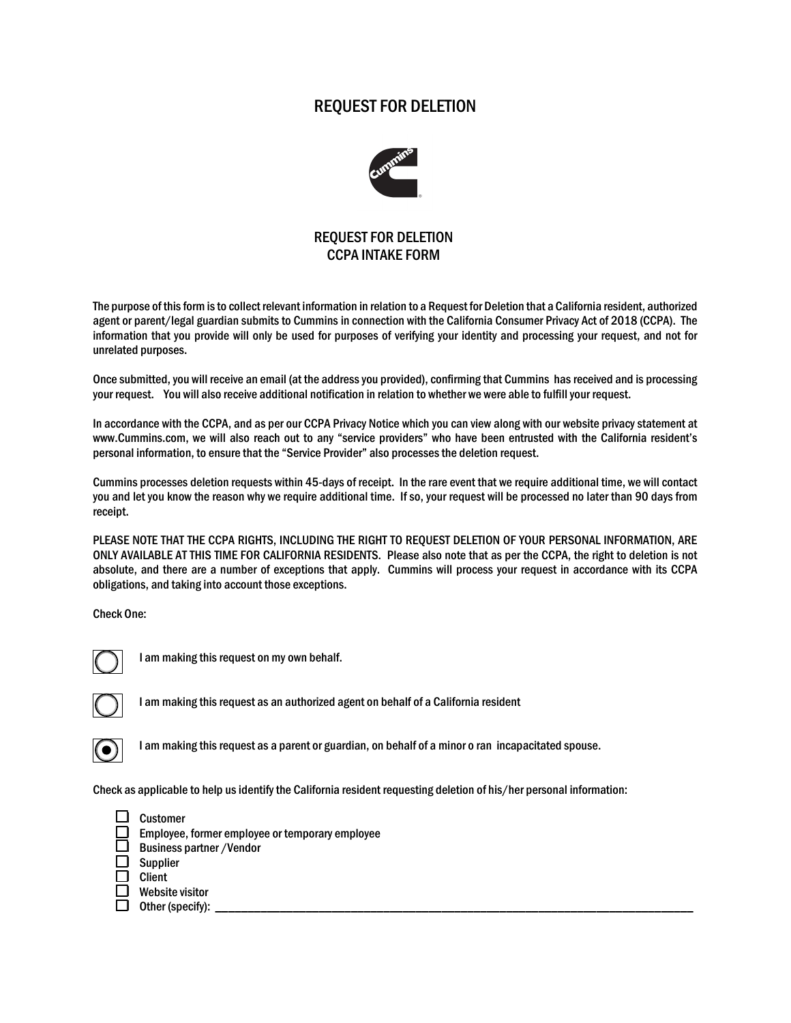## REQUEST FOR DELETION



## REQUEST FOR DELETION CCPA INTAKE FORM

The purpose of this form is to collect relevant information in relation to a Request for Deletion that a California resident, authorized agent or parent/legal guardian submits to Cummins in connection with the California Consumer Privacy Act of 2018 (CCPA). The information that you provide will only be used for purposes of verifying your identity and processing your request, and not for unrelated purposes.

Once submitted, you will receive an email (at the address you provided), confirming that Cummins has received and is processing your request. You will also receive additional notification in relation to whether we were able to fulfill your request.

In accordance with the CCPA, and as per our CCPA Privacy Notice which you can view along with our website privacy statement at www.Cummins.com, we will also reach out to any "service providers" who have been entrusted with the California resident's personal information, to ensure that the "Service Provider" also processes the deletion request.

Cummins processes deletion requests within 45-days of receipt. In the rare event that we require additional time, we will contact you and let you know the reason why we require additional time. If so, your request will be processed no later than 90 days from receipt.

PLEASE NOTE THAT THE CCPA RIGHTS, INCLUDING THE RIGHT TO REQUEST DELETION OF YOUR PERSONAL INFORMATION, ARE ONLY AVAILABLE AT THIS TIME FOR CALIFORNIA RESIDENTS. Please also note that as per the CCPA, the right to deletion is not absolute, and there are a number of exceptions that apply. Cummins will process your request in accordance with its CCPA obligations, and taking into account those exceptions.

Check One:



I am making this request on my own behalf.



I am making this request as an authorized agent on behalf of a California resident



I am making this request as a parent or guardian, on behalf of a minor o ran incapacitated spouse.

Check as applicable to help us identify the California resident requesting deletion of his/her personal information:



 $\Box$  Other (specify):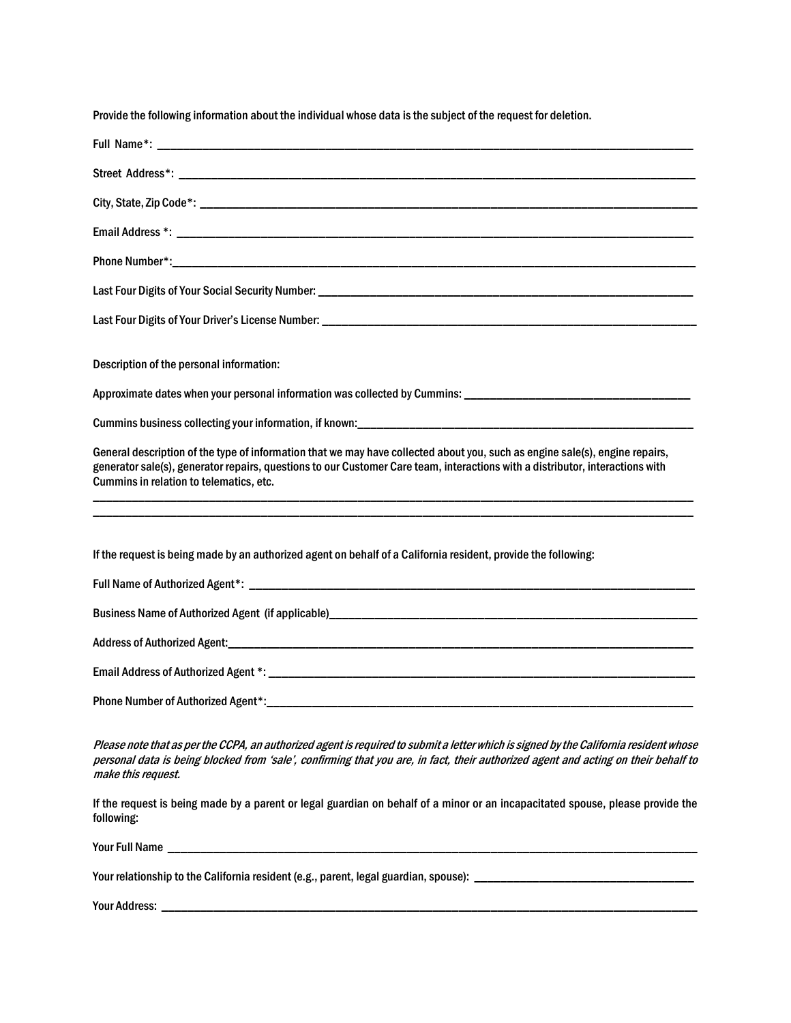| Provide the following information about the individual whose data is the subject of the request for deletion.                                                                                                                                                                                            |
|----------------------------------------------------------------------------------------------------------------------------------------------------------------------------------------------------------------------------------------------------------------------------------------------------------|
|                                                                                                                                                                                                                                                                                                          |
|                                                                                                                                                                                                                                                                                                          |
|                                                                                                                                                                                                                                                                                                          |
|                                                                                                                                                                                                                                                                                                          |
|                                                                                                                                                                                                                                                                                                          |
|                                                                                                                                                                                                                                                                                                          |
|                                                                                                                                                                                                                                                                                                          |
| Description of the personal information:                                                                                                                                                                                                                                                                 |
| Approximate dates when your personal information was collected by Cummins: ___________________________________                                                                                                                                                                                           |
|                                                                                                                                                                                                                                                                                                          |
| General description of the type of information that we may have collected about you, such as engine sale(s), engine repairs,<br>generator sale(s), generator repairs, questions to our Customer Care team, interactions with a distributor, interactions with<br>Cummins in relation to telematics, etc. |
| If the request is being made by an authorized agent on behalf of a California resident, provide the following:                                                                                                                                                                                           |
|                                                                                                                                                                                                                                                                                                          |
|                                                                                                                                                                                                                                                                                                          |
|                                                                                                                                                                                                                                                                                                          |
|                                                                                                                                                                                                                                                                                                          |
|                                                                                                                                                                                                                                                                                                          |
|                                                                                                                                                                                                                                                                                                          |
| Please note that as per the CCPA, an authorized agent is required to submit a letter which is signed by the California resident whose<br>personal data is being blocked from 'sale', confirming that you are, in fact, their authorized agent and acting on their behalf to<br>make this request.        |
| If the request is being made by a parent or legal guardian on behalf of a minor or an incapacitated spouse, please provide the<br>following:                                                                                                                                                             |
|                                                                                                                                                                                                                                                                                                          |
|                                                                                                                                                                                                                                                                                                          |

Your Address: \_\_\_\_\_\_\_\_\_\_\_\_\_\_\_\_\_\_\_\_\_\_\_\_\_\_\_\_\_\_\_\_\_\_\_\_\_\_\_\_\_\_\_\_\_\_\_\_\_\_\_\_\_\_\_\_\_\_\_\_\_\_\_\_\_\_\_\_\_\_\_\_\_\_\_\_\_\_\_\_\_\_\_